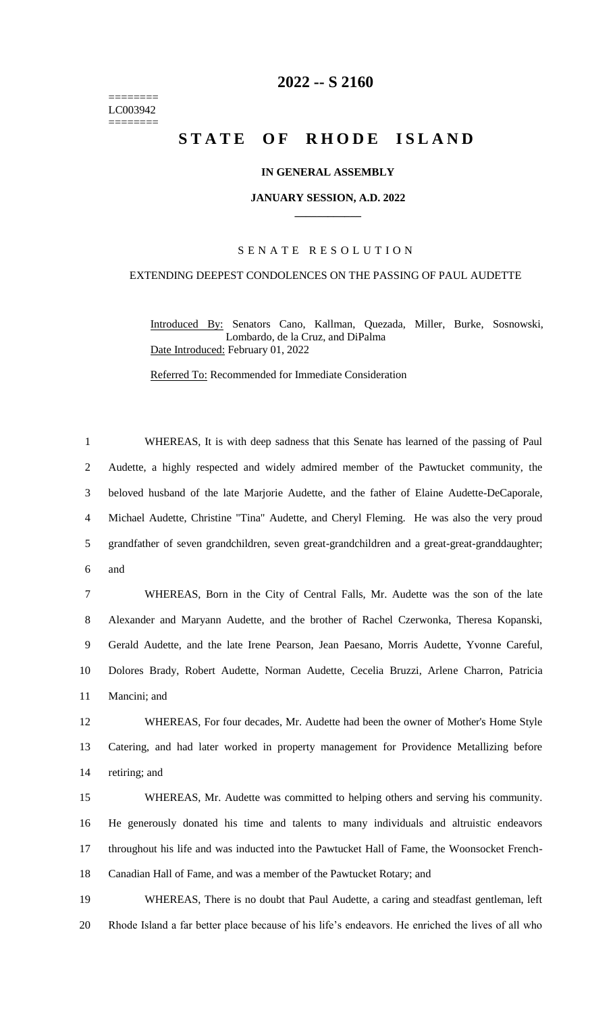======== LC003942 ========

# **-- S 2160**

# **STATE OF RHODE ISLAND**

# **IN GENERAL ASSEMBLY**

#### **JANUARY SESSION, A.D. 2022 \_\_\_\_\_\_\_\_\_\_\_\_**

# S E N A T E R E S O L U T I O N

### EXTENDING DEEPEST CONDOLENCES ON THE PASSING OF PAUL AUDETTE

Introduced By: Senators Cano, Kallman, Quezada, Miller, Burke, Sosnowski, Lombardo, de la Cruz, and DiPalma Date Introduced: February 01, 2022

Referred To: Recommended for Immediate Consideration

 WHEREAS, It is with deep sadness that this Senate has learned of the passing of Paul Audette, a highly respected and widely admired member of the Pawtucket community, the beloved husband of the late Marjorie Audette, and the father of Elaine Audette-DeCaporale, Michael Audette, Christine "Tina" Audette, and Cheryl Fleming. He was also the very proud grandfather of seven grandchildren, seven great-grandchildren and a great-great-granddaughter; and

 WHEREAS, Born in the City of Central Falls, Mr. Audette was the son of the late Alexander and Maryann Audette, and the brother of Rachel Czerwonka, Theresa Kopanski, Gerald Audette, and the late Irene Pearson, Jean Paesano, Morris Audette, Yvonne Careful, Dolores Brady, Robert Audette, Norman Audette, Cecelia Bruzzi, Arlene Charron, Patricia Mancini; and

 WHEREAS, For four decades, Mr. Audette had been the owner of Mother's Home Style Catering, and had later worked in property management for Providence Metallizing before retiring; and

 WHEREAS, Mr. Audette was committed to helping others and serving his community. He generously donated his time and talents to many individuals and altruistic endeavors throughout his life and was inducted into the Pawtucket Hall of Fame, the Woonsocket French-Canadian Hall of Fame, and was a member of the Pawtucket Rotary; and

 WHEREAS, There is no doubt that Paul Audette, a caring and steadfast gentleman, left Rhode Island a far better place because of his life's endeavors. He enriched the lives of all who